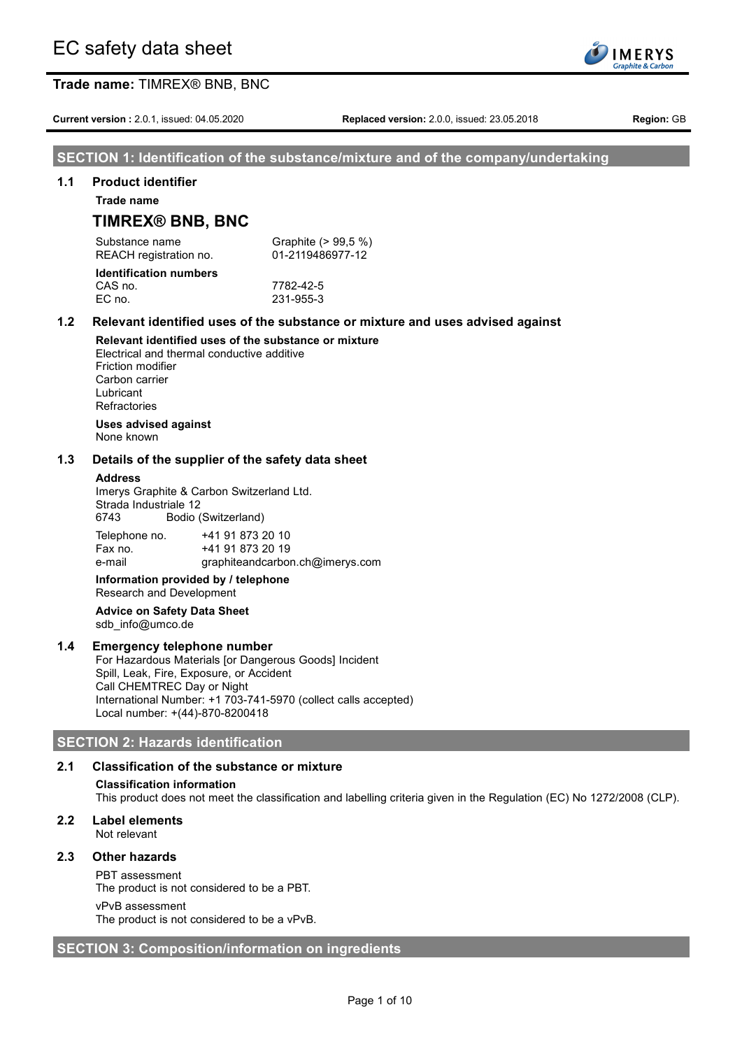**Current version :** 2.0.1, issued: 04.05.2020 **Replaced version:** 2.0.0, issued: 23.05.2018 **Region:** GB

**IMERYS** raphite & Carb

# **SECTION 1: Identification of the substance/mixture and of the company/undertaking**

## **1.1 Product identifier**

**Trade name**

# **TIMREX® BNB, BNC**

Substance name Graphite (> 99.5 %) REACH registration no. 01-2119486977-12

#### **Identification numbers** CAS no. 7782-42-5 EC no. 231-955-3

# **1.2 Relevant identified uses of the substance or mixture and uses advised against**

**Relevant identified uses of the substance or mixture** Electrical and thermal conductive additive Friction modifier Carbon carrier Lubricant **Refractories** 

#### **Uses advised against** None known

## **1.3 Details of the supplier of the safety data sheet**

#### **Address**

Imerys Graphite & Carbon Switzerland Ltd. Strada Industriale 12 6743 Bodio (Switzerland)

| Telephone no. | +41 91 873 20 10                |
|---------------|---------------------------------|
| Fax no.       | +41 91 873 20 19                |
| e-mail        | graphiteandcarbon.ch@imerys.com |

## **Information provided by / telephone** Research and Development

#### **Advice on Safety Data Sheet** sdb\_info@umco.de

# **1.4 Emergency telephone number**

For Hazardous Materials [or Dangerous Goods] Incident Spill, Leak, Fire, Exposure, or Accident Call CHEMTREC Day or Night International Number: +1 703-741-5970 (collect calls accepted) Local number: +(44)-870-8200418

# **SECTION 2: Hazards identification**

# **2.1 Classification of the substance or mixture**

#### **Classification information**

This product does not meet the classification and labelling criteria given in the Regulation (EC) No 1272/2008 (CLP).

# **2.2 Label elements**

Not relevant

# **2.3 Other hazards**

PBT assessment

The product is not considered to be a PBT.

#### vPvB assessment

The product is not considered to be a vPvB.

# **SECTION 3: Composition/information on ingredients**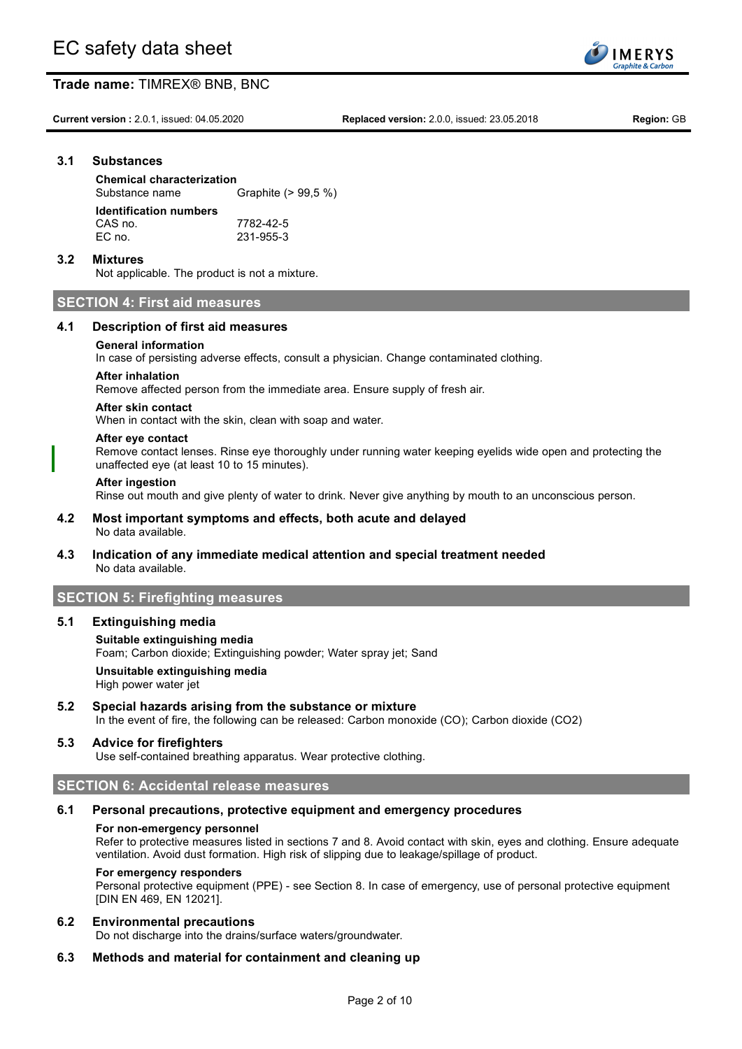**Current version :** 2.0.1, issued: 04.05.2020 **Replaced version:** 2.0.0, issued: 23.05.2018 **Region:** GB

**IMERYS** aphite & Carb

# **3.1 Substances**

**Chemical characterization** Substance name Graphite (> 99,5 %) **Identification numbers** CAS no. 7782-42-5 EC no. 231-955-3

# **3.2 Mixtures**

Not applicable. The product is not a mixture.

# **SECTION 4: First aid measures**

## **4.1 Description of first aid measures**

## **General information**

In case of persisting adverse effects, consult a physician. Change contaminated clothing.

## **After inhalation**

Remove affected person from the immediate area. Ensure supply of fresh air.

#### **After skin contact**

When in contact with the skin, clean with soap and water.

#### **After eye contact**

Remove contact lenses. Rinse eye thoroughly under running water keeping eyelids wide open and protecting the unaffected eye (at least 10 to 15 minutes).

#### **After ingestion**

Rinse out mouth and give plenty of water to drink. Never give anything by mouth to an unconscious person.

#### **4.2 Most important symptoms and effects, both acute and delayed** No data available.

# **4.3 Indication of any immediate medical attention and special treatment needed** No data available.

# **SECTION 5: Firefighting measures**

#### **5.1 Extinguishing media**

# **Suitable extinguishing media** Foam; Carbon dioxide; Extinguishing powder; Water spray jet; Sand **Unsuitable extinguishing media**

High power water jet

# **5.2 Special hazards arising from the substance or mixture**

In the event of fire, the following can be released: Carbon monoxide (CO); Carbon dioxide (CO2)

# **5.3 Advice for firefighters**

Use self-contained breathing apparatus. Wear protective clothing.

# **SECTION 6: Accidental release measures**

#### **6.1 Personal precautions, protective equipment and emergency procedures**

#### **For non-emergency personnel**

Refer to protective measures listed in sections 7 and 8. Avoid contact with skin, eyes and clothing. Ensure adequate ventilation. Avoid dust formation. High risk of slipping due to leakage/spillage of product.

#### **For emergency responders**

Personal protective equipment (PPE) - see Section 8. In case of emergency, use of personal protective equipment [DIN EN 469, EN 12021].

#### **6.2 Environmental precautions**

Do not discharge into the drains/surface waters/groundwater.

# **6.3 Methods and material for containment and cleaning up**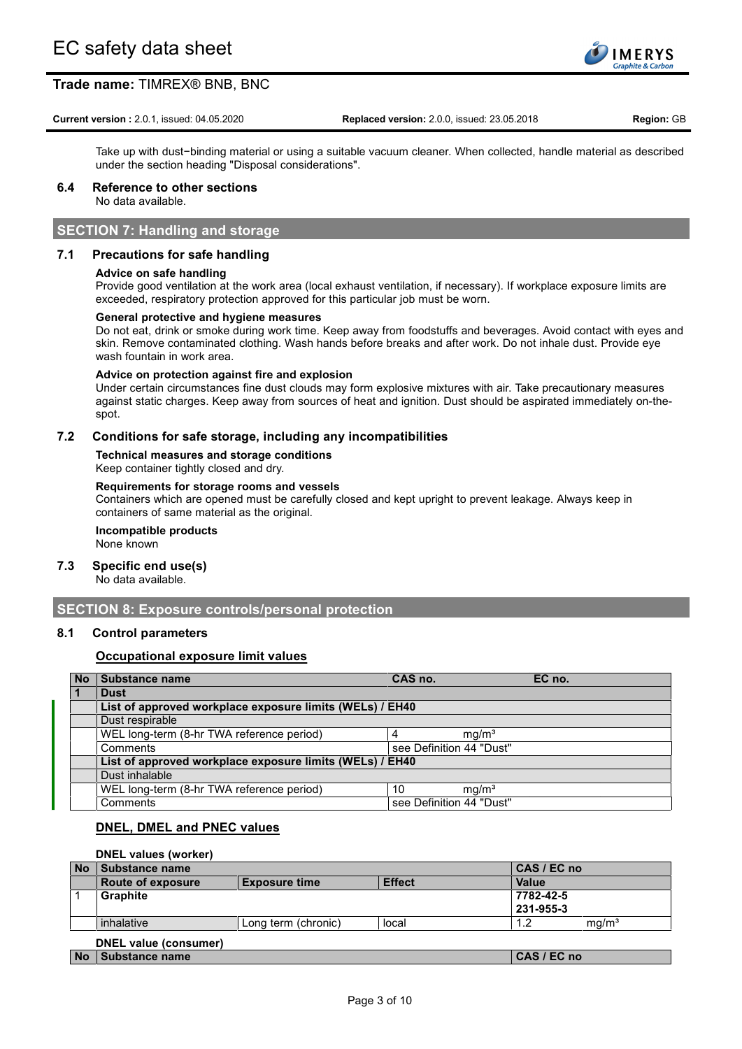

#### **Current version :** 2.0.1, issued: 04.05.2020 **Replaced version:** 2.0.0, issued: 23.05.2018 **Region:** GB

Take up with dust−binding material or using a suitable vacuum cleaner. When collected, handle material as described under the section heading "Disposal considerations".

# **6.4 Reference to other sections**

No data available.

# **SECTION 7: Handling and storage**

# **7.1 Precautions for safe handling**

## **Advice on safe handling**

Provide good ventilation at the work area (local exhaust ventilation, if necessary). If workplace exposure limits are exceeded, respiratory protection approved for this particular job must be worn.

#### **General protective and hygiene measures**

Do not eat, drink or smoke during work time. Keep away from foodstuffs and beverages. Avoid contact with eyes and skin. Remove contaminated clothing. Wash hands before breaks and after work. Do not inhale dust. Provide eye wash fountain in work area.

#### **Advice on protection against fire and explosion**

Under certain circumstances fine dust clouds may form explosive mixtures with air. Take precautionary measures against static charges. Keep away from sources of heat and ignition. Dust should be aspirated immediately on-thespot.

## **7.2 Conditions for safe storage, including any incompatibilities**

**Technical measures and storage conditions** Keep container tightly closed and dry.

#### **Requirements for storage rooms and vessels**

Containers which are opened must be carefully closed and kept upright to prevent leakage. Always keep in containers of same material as the original.

# **Incompatible products**

None known

# **7.3 Specific end use(s)**

No data available.

# **SECTION 8: Exposure controls/personal protection**

# **8.1 Control parameters**

# **Occupational exposure limit values**

| <b>No</b> | <b>Substance name</b>                                    | CAS no.                  |                   | EC no. |
|-----------|----------------------------------------------------------|--------------------------|-------------------|--------|
| $\vert$ 1 | <b>Dust</b>                                              |                          |                   |        |
|           | List of approved workplace exposure limits (WELs) / EH40 |                          |                   |        |
|           | Dust respirable                                          |                          |                   |        |
|           | WEL long-term (8-hr TWA reference period)                | 4                        | mg/m <sup>3</sup> |        |
|           | Comments                                                 | see Definition 44 "Dust" |                   |        |
|           | List of approved workplace exposure limits (WELs) / EH40 |                          |                   |        |
|           | Dust inhalable                                           |                          |                   |        |
|           | WEL long-term (8-hr TWA reference period)                | 10                       | mq/m <sup>3</sup> |        |
|           | Comments                                                 | see Definition 44 "Dust" |                   |        |

# **DNEL, DMEL and PNEC values**

## **DNEL values (worker)**

| <b>No</b> | Substance name           |                      |               | CAS / EC no |                   |
|-----------|--------------------------|----------------------|---------------|-------------|-------------------|
|           | <b>Route of exposure</b> | <b>Exposure time</b> | <b>Effect</b> | Value       |                   |
|           | <b>Graphite</b>          |                      |               | 7782-42-5   |                   |
|           |                          |                      |               | 231-955-3   |                   |
|           | inhalative               | Long term (chronic)  | local         | 1.2         | mq/m <sup>3</sup> |
|           | DNEL value (consumer)    |                      |               |             |                   |
| <b>No</b> | Substance name           |                      |               | CAS / EC no |                   |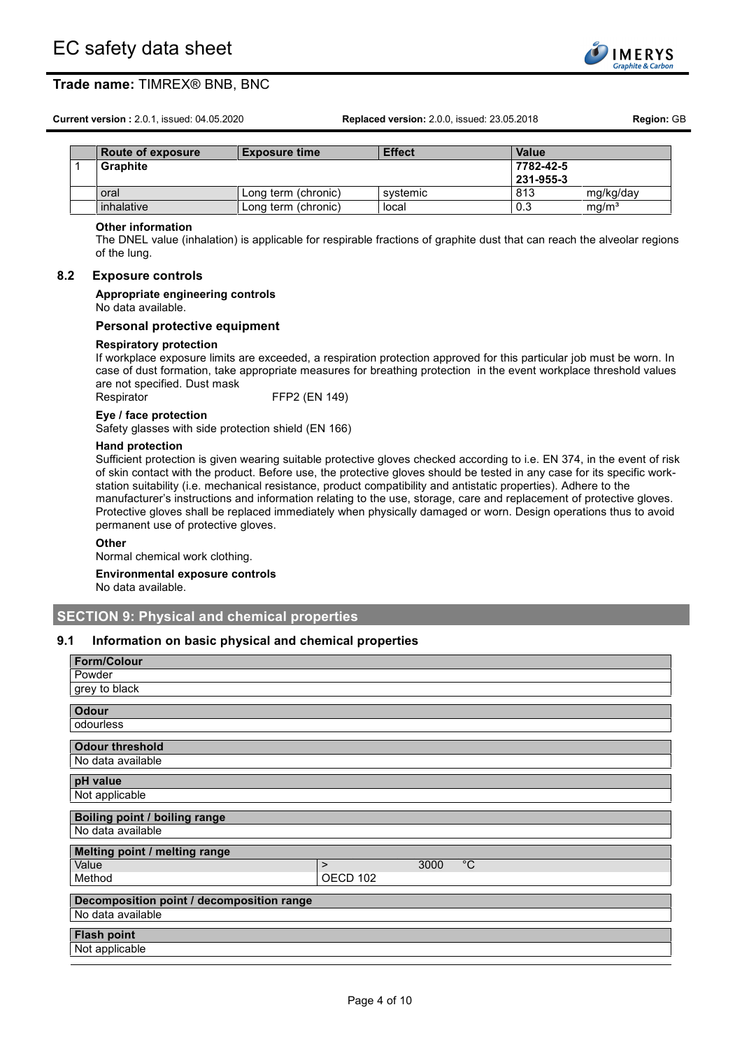**Current version :** 2.0.1, issued: 04.05.2020 **Replaced version:** 2.0.0, issued: 23.05.2018 **Region:** GB

| 100001100 | $T_{\rm v}$ n a anns binne |  |
|-----------|----------------------------|--|
|           |                            |  |

**IMERYS** raphite & Carb

| Route of exposure | <b>Exposure time</b> | <b>Effect</b> | Value     |                   |
|-------------------|----------------------|---------------|-----------|-------------------|
| <b>Graphite</b>   |                      |               | 7782-42-5 |                   |
|                   |                      |               | 231-955-3 |                   |
| oral              | Long term (chronic)  | svstemic      | 813       | mg/kg/day         |
| inhalative        | Long term (chronic)  | local         | 0.3       | mq/m <sup>3</sup> |

#### **Other information**

The DNEL value (inhalation) is applicable for respirable fractions of graphite dust that can reach the alveolar regions of the lung.

#### **8.2 Exposure controls**

#### **Appropriate engineering controls**

No data available.

#### **Personal protective equipment**

#### **Respiratory protection**

If workplace exposure limits are exceeded, a respiration protection approved for this particular job must be worn. In case of dust formation, take appropriate measures for breathing protection in the event workplace threshold values are not specified. Dust mask

Respirator FFP2 (EN 149)

#### **Eye / face protection**

Safety glasses with side protection shield (EN 166)

#### **Hand protection**

Sufficient protection is given wearing suitable protective gloves checked according to i.e. EN 374, in the event of risk of skin contact with the product. Before use, the protective gloves should be tested in any case for its specific workstation suitability (i.e. mechanical resistance, product compatibility and antistatic properties). Adhere to the manufacturer's instructions and information relating to the use, storage, care and replacement of protective gloves. Protective gloves shall be replaced immediately when physically damaged or worn. Design operations thus to avoid permanent use of protective gloves.

#### **Other**

Normal chemical work clothing.

# **Environmental exposure controls**

No data available.

# **SECTION 9: Physical and chemical properties**

## **9.1 Information on basic physical and chemical properties**

| <b>Form/Colour</b>                        |          |      |             |
|-------------------------------------------|----------|------|-------------|
| Powder                                    |          |      |             |
| grey to black                             |          |      |             |
| <b>Odour</b>                              |          |      |             |
| odourless                                 |          |      |             |
| <b>Odour threshold</b>                    |          |      |             |
| No data available                         |          |      |             |
| pH value                                  |          |      |             |
| Not applicable                            |          |      |             |
| Boiling point / boiling range             |          |      |             |
| No data available                         |          |      |             |
| Melting point / melting range             |          |      |             |
| Value                                     | $\geq$   | 3000 | $^{\circ}C$ |
| Method                                    | OECD 102 |      |             |
| Decomposition point / decomposition range |          |      |             |
| No data available                         |          |      |             |
| <b>Flash point</b>                        |          |      |             |
| Not applicable                            |          |      |             |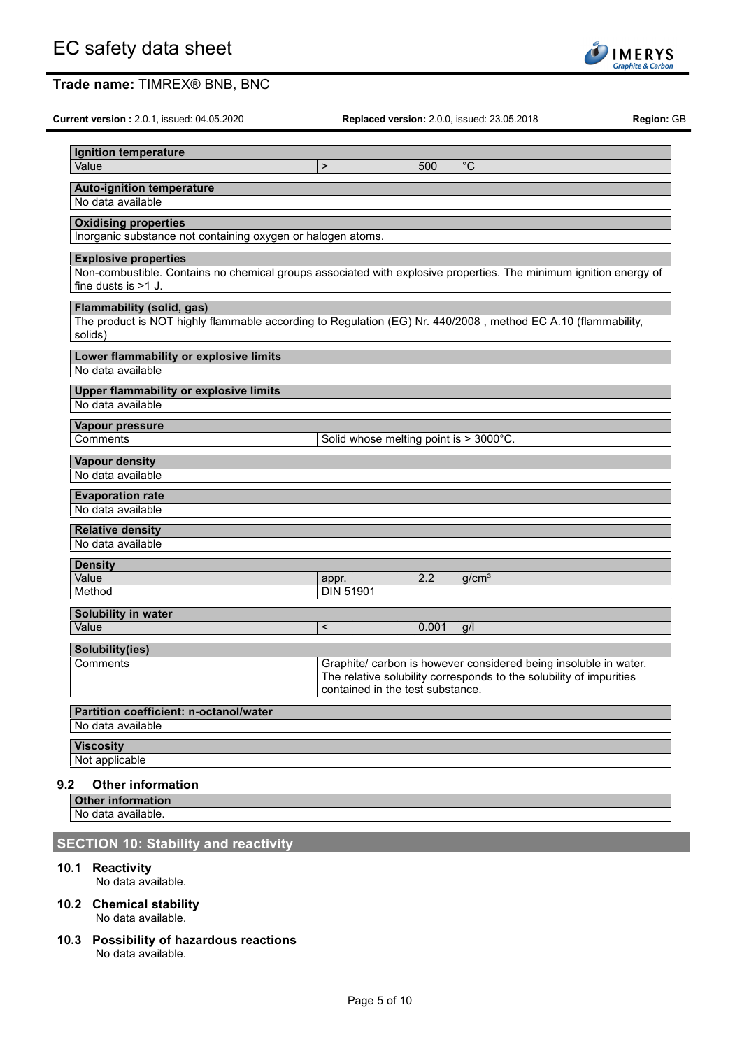**Current version :** 2.0.1, issued: 04.05.2020 **Replaced version:** 2.0.0, issued: 23.05.2018 **Region:** GB

| Ignition temperature                                                                                              |                                        |       |                                                                                                                                         |
|-------------------------------------------------------------------------------------------------------------------|----------------------------------------|-------|-----------------------------------------------------------------------------------------------------------------------------------------|
| Value                                                                                                             | $\geq$                                 | 500   | $\overline{C}$                                                                                                                          |
| <b>Auto-ignition temperature</b>                                                                                  |                                        |       |                                                                                                                                         |
| No data available                                                                                                 |                                        |       |                                                                                                                                         |
| <b>Oxidising properties</b>                                                                                       |                                        |       |                                                                                                                                         |
| Inorganic substance not containing oxygen or halogen atoms.                                                       |                                        |       |                                                                                                                                         |
| <b>Explosive properties</b>                                                                                       |                                        |       |                                                                                                                                         |
| Non-combustible. Contains no chemical groups associated with explosive properties. The minimum ignition energy of |                                        |       |                                                                                                                                         |
| fine dusts is $>1$ J.                                                                                             |                                        |       |                                                                                                                                         |
| <b>Flammability (solid, gas)</b>                                                                                  |                                        |       |                                                                                                                                         |
| The product is NOT highly flammable according to Regulation (EG) Nr. 440/2008, method EC A.10 (flammability,      |                                        |       |                                                                                                                                         |
| solids)                                                                                                           |                                        |       |                                                                                                                                         |
| Lower flammability or explosive limits                                                                            |                                        |       |                                                                                                                                         |
| No data available                                                                                                 |                                        |       |                                                                                                                                         |
| <b>Upper flammability or explosive limits</b>                                                                     |                                        |       |                                                                                                                                         |
| No data available                                                                                                 |                                        |       |                                                                                                                                         |
| Vapour pressure                                                                                                   |                                        |       |                                                                                                                                         |
| Comments                                                                                                          | Solid whose melting point is > 3000°C. |       |                                                                                                                                         |
| <b>Vapour density</b>                                                                                             |                                        |       |                                                                                                                                         |
| No data available                                                                                                 |                                        |       |                                                                                                                                         |
| <b>Evaporation rate</b>                                                                                           |                                        |       |                                                                                                                                         |
| No data available                                                                                                 |                                        |       |                                                                                                                                         |
| <b>Relative density</b>                                                                                           |                                        |       |                                                                                                                                         |
| No data available                                                                                                 |                                        |       |                                                                                                                                         |
| <b>Density</b>                                                                                                    |                                        |       |                                                                                                                                         |
| Value<br>Method                                                                                                   | appr.<br><b>DIN 51901</b>              | 2.2   | g/cm <sup>3</sup>                                                                                                                       |
|                                                                                                                   |                                        |       |                                                                                                                                         |
| Solubility in water                                                                                               |                                        |       |                                                                                                                                         |
| Value                                                                                                             | $\,<$                                  | 0.001 | q/l                                                                                                                                     |
| Solubility(ies)                                                                                                   |                                        |       |                                                                                                                                         |
| Comments                                                                                                          |                                        |       | Graphite/ carbon is however considered being insoluble in water.<br>The relative solubility corresponds to the solubility of impurities |
|                                                                                                                   | contained in the test substance.       |       |                                                                                                                                         |
| <b>Partition coefficient: n-octanol/water</b>                                                                     |                                        |       |                                                                                                                                         |
| No data available                                                                                                 |                                        |       |                                                                                                                                         |
| <b>Viscosity</b>                                                                                                  |                                        |       |                                                                                                                                         |
| Not applicable                                                                                                    |                                        |       |                                                                                                                                         |

# **9.2 Other information**

**Other information** No data available.

# **SECTION 10: Stability and reactivity**

**10.1 Reactivity**

No data available.

## **10.2 Chemical stability** No data available.

**10.3 Possibility of hazardous reactions** No data available.

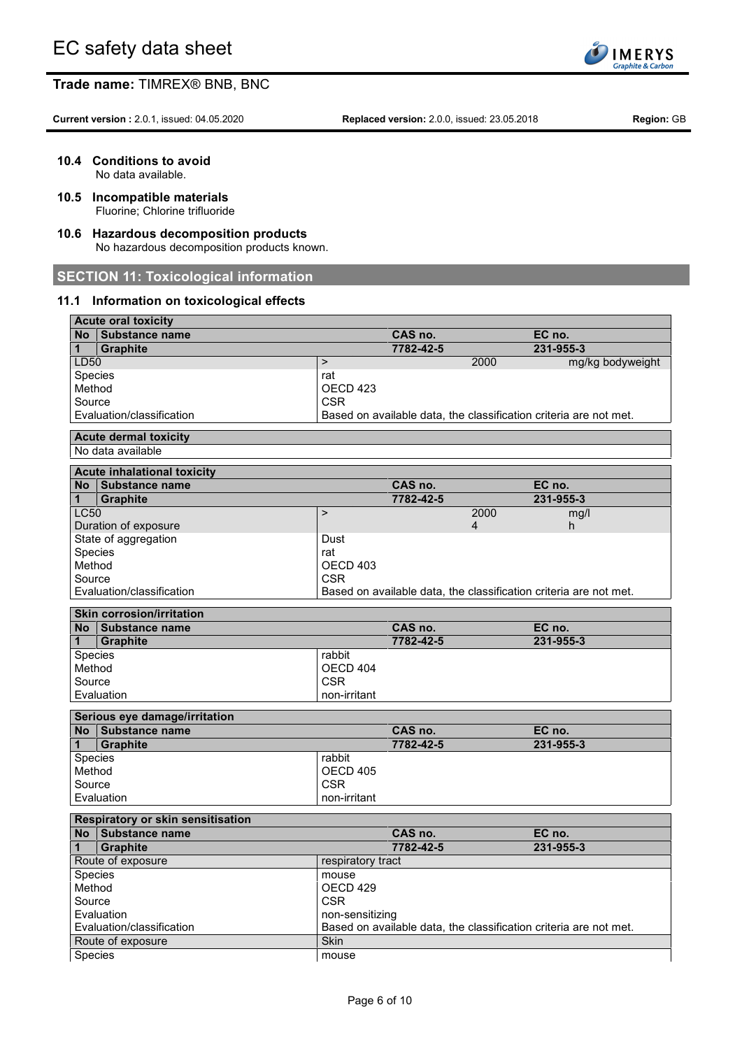

**Current version :** 2.0.1, issued: 04.05.2020 **Replaced version:** 2.0.0, issued: 23.05.2018 **Region:** GB

**10.4 Conditions to avoid**

No data available.

- **10.5 Incompatible materials** Fluorine; Chlorine trifluoride
- **10.6 Hazardous decomposition products** No hazardous decomposition products known.

# **SECTION 11: Toxicological information**

# **11.1 Information on toxicological effects**

| <b>Acute oral toxicity</b>         |                     |           |                                                                   |
|------------------------------------|---------------------|-----------|-------------------------------------------------------------------|
| No Substance name                  |                     | CAS no.   | EC no.                                                            |
| <b>Graphite</b><br>1               |                     | 7782-42-5 | 231-955-3                                                         |
| LD50                               | $\, >$              |           | 2000<br>mg/kg bodyweight                                          |
| Species                            | rat                 |           |                                                                   |
| Method                             | OECD <sub>423</sub> |           |                                                                   |
| Source                             | <b>CSR</b>          |           |                                                                   |
| Evaluation/classification          |                     |           | Based on available data, the classification criteria are not met. |
| <b>Acute dermal toxicity</b>       |                     |           |                                                                   |
| No data available                  |                     |           |                                                                   |
| <b>Acute inhalational toxicity</b> |                     |           |                                                                   |
| No Substance name                  |                     | CAS no.   | EC no.                                                            |
| <b>Graphite</b><br>1               |                     | 7782-42-5 | 231-955-3                                                         |
| <b>LC50</b>                        | $\mathbf{L}$        |           | 2000<br>mg/l                                                      |
| Duration of exposure               |                     |           | 4<br>h                                                            |
| State of aggregation               | Dust                |           |                                                                   |
| Species                            | rat                 |           |                                                                   |
| Method                             | OECD 403            |           |                                                                   |
| Source                             | <b>CSR</b>          |           |                                                                   |
| Evaluation/classification          |                     |           | Based on available data, the classification criteria are not met. |
|                                    |                     |           |                                                                   |
| <b>Skin corrosion/irritation</b>   |                     |           |                                                                   |
| No Substance name                  |                     | CAS no.   | EC no.                                                            |
| <b>Graphite</b><br>1               |                     | 7782-42-5 | 231-955-3                                                         |
| Species                            | rabbit              |           |                                                                   |
| Method                             | OECD 404            |           |                                                                   |
| Source                             | <b>CSR</b>          |           |                                                                   |
| Evaluation                         | non-irritant        |           |                                                                   |
| Serious eye damage/irritation      |                     |           |                                                                   |
| No Substance name                  |                     | CAS no.   | EC no.                                                            |
| 1<br><b>Graphite</b>               |                     | 7782-42-5 | 231-955-3                                                         |
| Species                            | rabbit              |           |                                                                   |
| Method                             | OECD 405            |           |                                                                   |
| Source                             | <b>CSR</b>          |           |                                                                   |
| Evaluation                         | non-irritant        |           |                                                                   |
| Respiratory or skin sensitisation  |                     |           |                                                                   |
| No Substance name                  |                     | CAS no.   | EC no.                                                            |
| 1<br><b>Graphite</b>               |                     | 7782-42-5 | 231-955-3                                                         |
| Route of exposure                  | respiratory tract   |           |                                                                   |
| Species                            | mouse               |           |                                                                   |
| Method                             | OECD 429            |           |                                                                   |
| Source                             | <b>CSR</b>          |           |                                                                   |
| Evaluation                         | non-sensitizing     |           |                                                                   |
| Evaluation/classification          |                     |           | Based on available data, the classification criteria are not met. |
| Route of exposure                  |                     |           |                                                                   |
| Species                            | Skin                |           |                                                                   |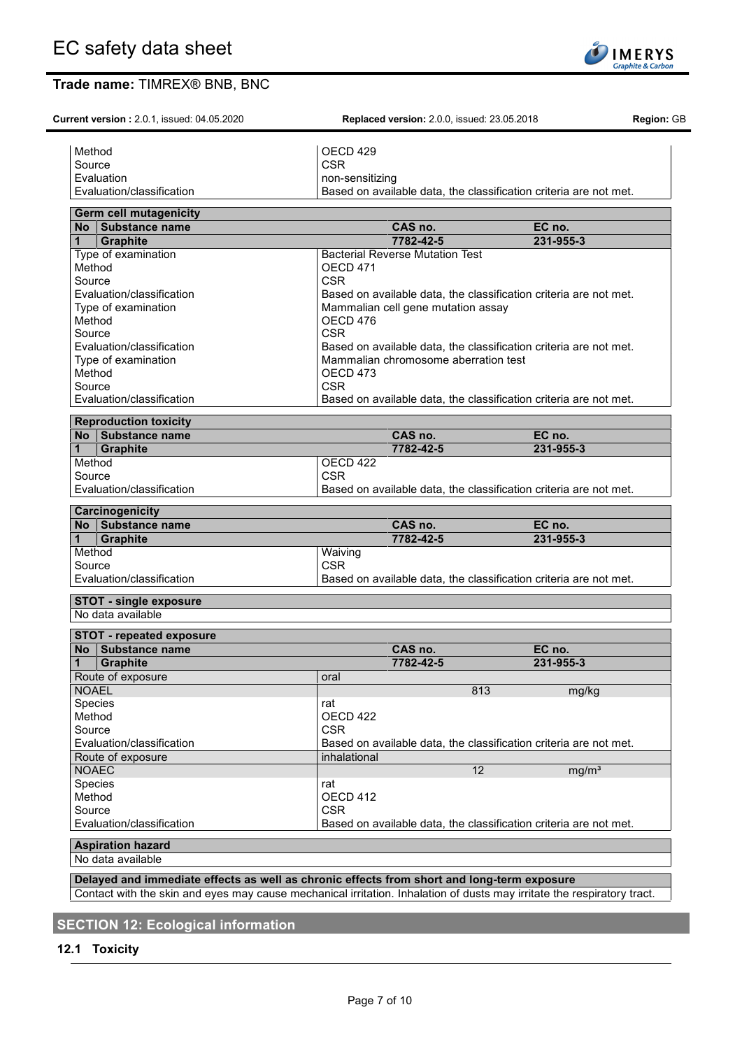Method **OECD** 429 Source CSR CSR

**Current version :** 2.0.1, issued: 04.05.2020 **Replaced version:** 2.0.0, issued: 23.05.2018 **Region:** GB

Evaluation **non-sensitizing** Evaluation/classification Based on available data, the classification criteria are not met. **Germ cell mutagenicity No Substance name CAS no. EC no. 1 Graphite 7782-42-5 231-955-3** Type of examination **Bacterial Reverse Mutation Test** Method OECD 471<br>Source CSR Source **CSR** Evaluation/classification Based on available data, the classification criteria are not met. Type of examination Mammalian cell gene mutation assay Method DECD 476 Source | CSR<br>Evaluation/classification | CSR<br>Base Evaluation/classification Based on available data, the classification criteria are not met.<br>Type of examination **Based on available data**, the classification criteria are not met. Mammalian chromosome aberration test Method OECD 473 Source **CSR** Evaluation/classification Based on available data, the classification criteria are not met. **Reproduction toxicity No Substance name CAS no. EC no. 1 Graphite 7782-42-5 231-955-3** Method | OECD 422 Source CSR CSR Evaluation/classification Based on available data, the classification criteria are not met. **Carcinogenicity No Substance name CAS no. EC no. 1 Graphite 7782-42-5 231-955-3** Method Waiving Source CSR CSR Evaluation/classification Based on available data, the classification criteria are not met. **STOT - single exposure** No data available

| No Substance name              | CAS no.      | EC no.                                                            |
|--------------------------------|--------------|-------------------------------------------------------------------|
| $\mathbf 1$<br><b>Graphite</b> | 7782-42-5    | 231-955-3                                                         |
| Route of exposure              | oral         |                                                                   |
| <b>NOAEL</b>                   |              | 813<br>mg/kg                                                      |
| <b>Species</b>                 | rat          |                                                                   |
| Method                         | OFCD 422     |                                                                   |
| Source                         | <b>CSR</b>   |                                                                   |
| Evaluation/classification      |              | Based on available data, the classification criteria are not met. |
| Route of exposure              | inhalational |                                                                   |
| <b>NOAEC</b>                   |              | 12<br>mq/m <sup>3</sup>                                           |
| <b>Species</b>                 | rat          |                                                                   |
| Method                         | OECD 412     |                                                                   |
| Source                         | <b>CSR</b>   |                                                                   |
| Evaluation/classification      |              | Based on available data, the classification criteria are not met. |

# **Aspiration hazard**

No data available

**Delayed and immediate effects as well as chronic effects from short and long-term exposure** Contact with the skin and eyes may cause mechanical irritation. Inhalation of dusts may irritate the respiratory tract.

# **SECTION 12: Ecological information**

# **12.1 Toxicity**

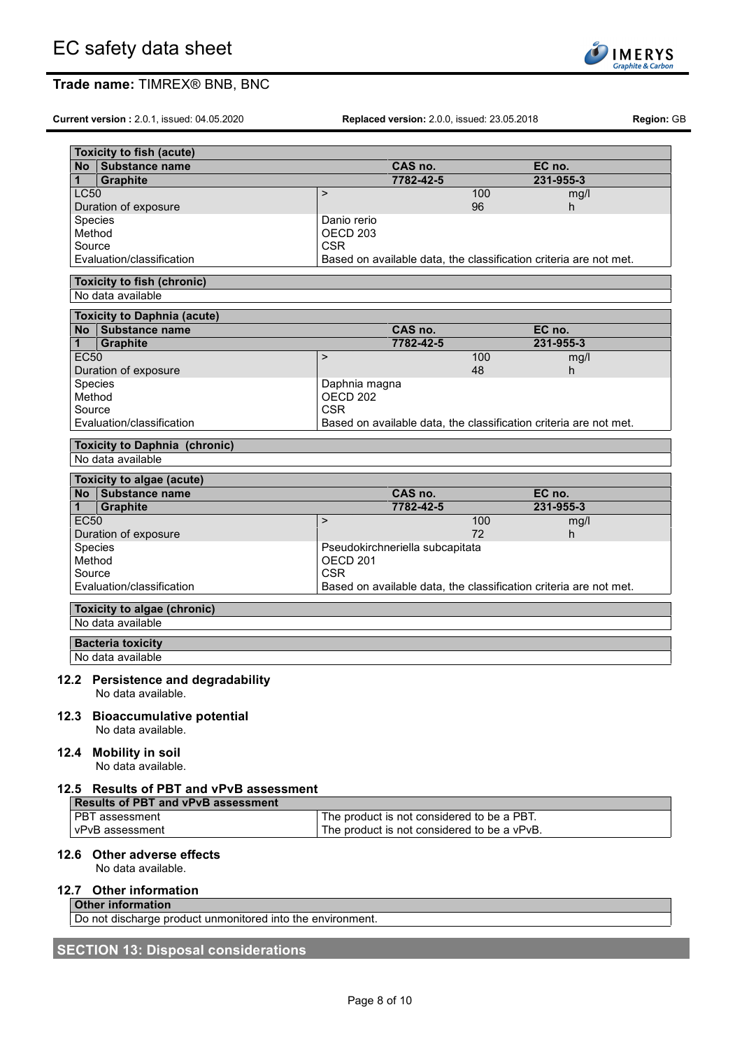

**Current version :** 2.0.1, issued: 04.05.2020 **Replaced version:** 2.0.0, issued: 23.05.2018 **Region:** GB

| No.         | <b>Toxicity to fish (acute)</b><br>Substance name                                    |                     | CAS no.                                     |     | EC no.                                                            |
|-------------|--------------------------------------------------------------------------------------|---------------------|---------------------------------------------|-----|-------------------------------------------------------------------|
| 1           | <b>Graphite</b>                                                                      |                     | 7782-42-5                                   |     | 231-955-3                                                         |
| <b>LC50</b> |                                                                                      | $\mathbf{L}$        |                                             | 100 | mg/l                                                              |
|             | Duration of exposure                                                                 |                     |                                             | 96  | h.                                                                |
|             | Species                                                                              | Danio rerio         |                                             |     |                                                                   |
|             | Method                                                                               | OECD <sub>203</sub> |                                             |     |                                                                   |
| Source      |                                                                                      | <b>CSR</b>          |                                             |     |                                                                   |
|             | Evaluation/classification                                                            |                     |                                             |     | Based on available data, the classification criteria are not met. |
|             | <b>Toxicity to fish (chronic)</b><br>No data available                               |                     |                                             |     |                                                                   |
|             | <b>Toxicity to Daphnia (acute)</b>                                                   |                     |                                             |     |                                                                   |
|             | No Substance name                                                                    |                     | CAS no.                                     |     | EC no.                                                            |
| 1           | <b>Graphite</b>                                                                      |                     | 7782-42-5                                   |     | 231-955-3                                                         |
| <b>EC50</b> |                                                                                      | $\mathbf{L}$        |                                             | 100 | mg/l                                                              |
|             | Duration of exposure                                                                 |                     |                                             | 48  | h.                                                                |
|             | Species                                                                              | Daphnia magna       |                                             |     |                                                                   |
| Method      |                                                                                      | OECD <sub>202</sub> |                                             |     |                                                                   |
| Source      |                                                                                      | <b>CSR</b>          |                                             |     |                                                                   |
|             | Evaluation/classification                                                            |                     |                                             |     | Based on available data, the classification criteria are not met. |
|             | <b>Toxicity to Daphnia (chronic)</b>                                                 |                     |                                             |     |                                                                   |
|             | No data available                                                                    |                     |                                             |     |                                                                   |
|             | Toxicity to algae (acute)                                                            |                     |                                             |     |                                                                   |
|             | No Substance name                                                                    |                     | CAS no.                                     |     | EC no.                                                            |
| 1           | <b>Graphite</b>                                                                      |                     | 7782-42-5                                   |     | 231-955-3                                                         |
| <b>EC50</b> |                                                                                      | $\mathbf{I}$        |                                             | 100 | mg/l                                                              |
|             | Duration of exposure                                                                 |                     |                                             | 72  | h                                                                 |
|             | Species                                                                              |                     | Pseudokirchneriella subcapitata             |     |                                                                   |
| Method      |                                                                                      | <b>OECD 201</b>     |                                             |     |                                                                   |
| Source      |                                                                                      | <b>CSR</b>          |                                             |     |                                                                   |
|             | Evaluation/classification                                                            |                     |                                             |     | Based on available data, the classification criteria are not met. |
|             | Toxicity to algae (chronic)                                                          |                     |                                             |     |                                                                   |
|             | No data available                                                                    |                     |                                             |     |                                                                   |
|             |                                                                                      |                     |                                             |     |                                                                   |
|             | <b>Bacteria toxicity</b><br>No data available                                        |                     |                                             |     |                                                                   |
|             |                                                                                      |                     |                                             |     |                                                                   |
|             | 12.2 Persistence and degradability                                                   |                     |                                             |     |                                                                   |
|             | No data available.                                                                   |                     |                                             |     |                                                                   |
|             | 12.3 Bioaccumulative potential                                                       |                     |                                             |     |                                                                   |
|             | No data available.                                                                   |                     |                                             |     |                                                                   |
|             |                                                                                      |                     |                                             |     |                                                                   |
|             | 12.4 Mobility in soil                                                                |                     |                                             |     |                                                                   |
|             | No data available.                                                                   |                     |                                             |     |                                                                   |
|             |                                                                                      |                     |                                             |     |                                                                   |
|             | 12.5 Results of PBT and vPvB assessment<br><b>Results of PBT and vPvB assessment</b> |                     |                                             |     |                                                                   |
|             | PBT assessment                                                                       |                     | The product is not considered to be a PBT.  |     |                                                                   |
|             | vPvB assessment                                                                      |                     | The product is not considered to be a vPvB. |     |                                                                   |
|             |                                                                                      |                     |                                             |     |                                                                   |
|             | 12.6 Other adverse effects                                                           |                     |                                             |     |                                                                   |
|             | No data available.                                                                   |                     |                                             |     |                                                                   |
|             |                                                                                      |                     |                                             |     |                                                                   |
|             | 12.7 Other information                                                               |                     |                                             |     |                                                                   |
|             | <b>Other information</b>                                                             |                     |                                             |     |                                                                   |
|             | Do not discharge product unmonitored into the environment.                           |                     |                                             |     |                                                                   |

# **SECTION 13: Disposal considerations**

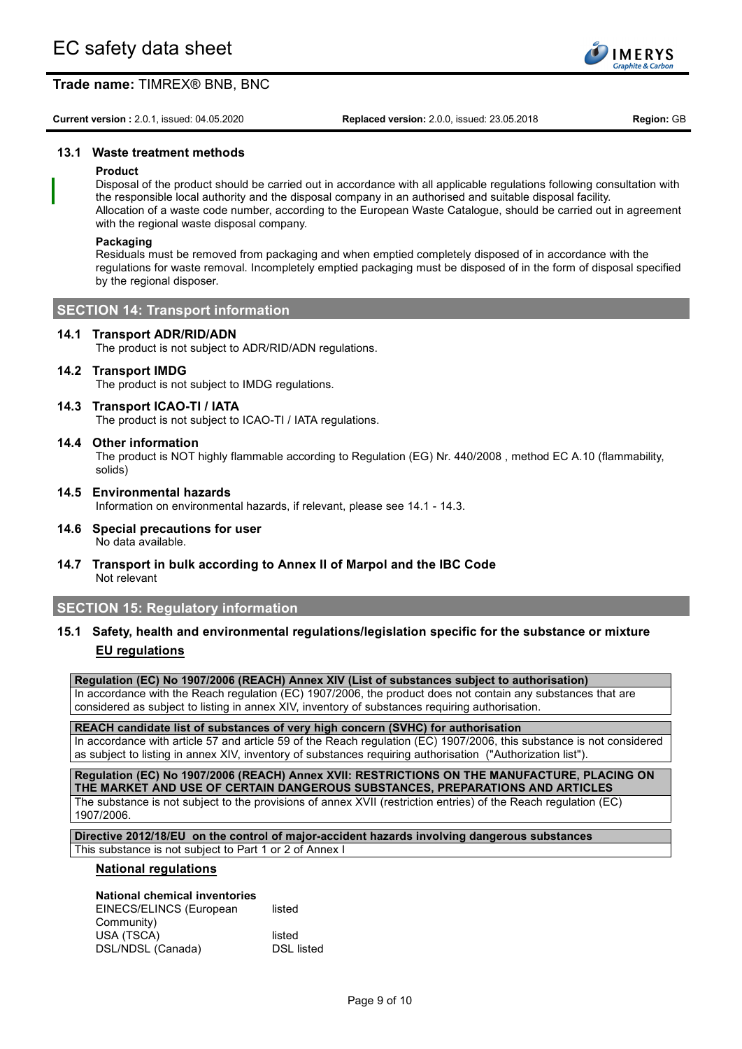

**Current version :** 2.0.1, issued: 04.05.2020 **Replaced version:** 2.0.0, issued: 23.05.2018 **Region:** GB

# **13.1 Waste treatment methods**

## **Product**

Disposal of the product should be carried out in accordance with all applicable regulations following consultation with the responsible local authority and the disposal company in an authorised and suitable disposal facility. Allocation of a waste code number, according to the European Waste Catalogue, should be carried out in agreement with the regional waste disposal company.

## **Packaging**

Residuals must be removed from packaging and when emptied completely disposed of in accordance with the regulations for waste removal. Incompletely emptied packaging must be disposed of in the form of disposal specified by the regional disposer.

# **SECTION 14: Transport information**

## **14.1 Transport ADR/RID/ADN**

The product is not subject to ADR/RID/ADN regulations.

## **14.2 Transport IMDG**

The product is not subject to IMDG regulations.

## **14.3 Transport ICAO-TI / IATA**

The product is not subject to ICAO-TI / IATA regulations.

## **14.4 Other information**

The product is NOT highly flammable according to Regulation (EG) Nr. 440/2008 , method EC A.10 (flammability, solids)

- **14.5 Environmental hazards** Information on environmental hazards, if relevant, please see 14.1 - 14.3.
- **14.6 Special precautions for user** No data available.
- **14.7 Transport in bulk according to Annex II of Marpol and the IBC Code** Not relevant

# **SECTION 15: Regulatory information**

**15.1 Safety, health and environmental regulations/legislation specific for the substance or mixture EU regulations**

**Regulation (EC) No 1907/2006 (REACH) Annex XIV (List of substances subject to authorisation)**

In accordance with the Reach regulation (EC) 1907/2006, the product does not contain any substances that are considered as subject to listing in annex XIV, inventory of substances requiring authorisation.

**REACH candidate list of substances of very high concern (SVHC) for authorisation** In accordance with article 57 and article 59 of the Reach regulation (EC) 1907/2006, this substance is not considered as subject to listing in annex XIV, inventory of substances requiring authorisation ("Authorization list").

**Regulation (EC) No 1907/2006 (REACH) Annex XVII: RESTRICTIONS ON THE MANUFACTURE, PLACING ON THE MARKET AND USE OF CERTAIN DANGEROUS SUBSTANCES, PREPARATIONS AND ARTICLES** The substance is not subject to the provisions of annex XVII (restriction entries) of the Reach regulation (EC) 1907/2006.

**Directive 2012/18/EU on the control of major-accident hazards involving dangerous substances** This substance is not subject to Part 1 or 2 of Annex I

#### **National regulations**

# **National chemical inventories**

EINECS/ELINCS (European Community) listed USA (TSCA) listed<br>DSL/NDSL (Canada) listed DSL listed DSL/NDSL (Canada)